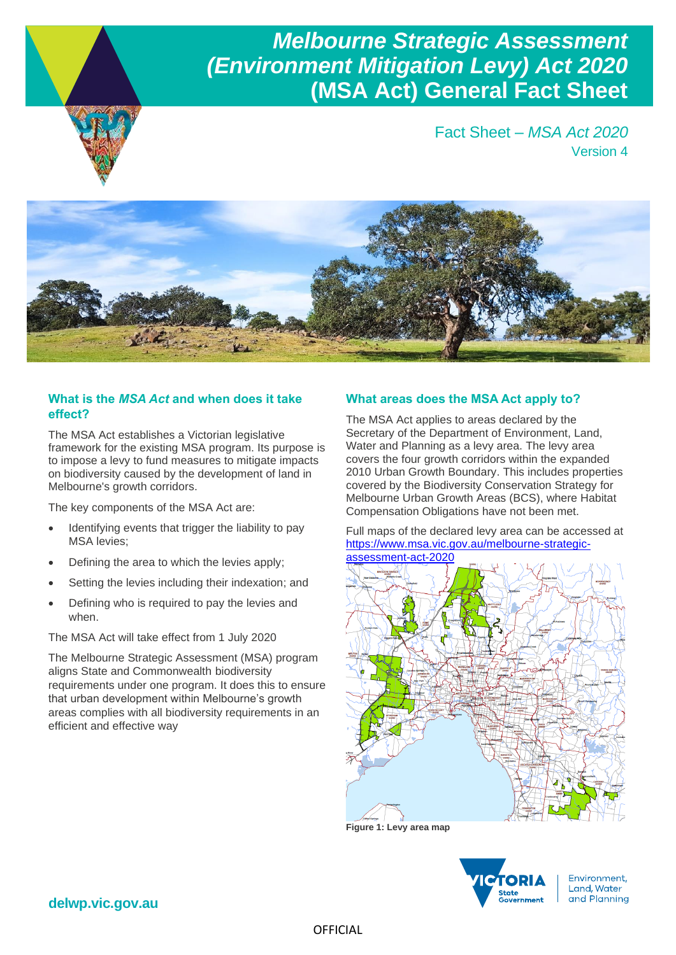## *Melbourne Strategic Assessment (Environment Mitigation Levy) Act 2020* **(MSA Act) General Fact Sheet**





#### **What is the** *MSA Act* **and when does it take effect?**

The MSA Act establishes a Victorian legislative framework for the existing MSA program. Its purpose is to impose a levy to fund measures to mitigate impacts on biodiversity caused by the development of land in Melbourne's growth corridors.

The key components of the MSA Act are:

- Identifying events that trigger the liability to pay MSA levies;
- Defining the area to which the levies apply;
- Setting the levies including their indexation; and
- Defining who is required to pay the levies and when.

The MSA Act will take effect from 1 July 2020

The Melbourne Strategic Assessment (MSA) program aligns State and Commonwealth biodiversity requirements under one program. It does this to ensure that urban development within Melbourne's growth areas complies with all biodiversity requirements in an efficient and effective way

#### **What areas does the MSA Act apply to?**

The MSA Act applies to areas declared by the Secretary of the Department of Environment, Land, Water and Planning as a levy area. The levy area covers the four growth corridors within the expanded 2010 Urban Growth Boundary. This includes properties covered by the Biodiversity Conservation Strategy for Melbourne Urban Growth Areas (BCS), where Habitat Compensation Obligations have not been met.

Full maps of the declared levy area can be accessed at [https://www.msa.vic.gov.au/melbourne-strategic](https://www.msa.vic.gov.au/melbourne-strategic-assessment-act-2020)[assessment-act-2020](https://www.msa.vic.gov.au/melbourne-strategic-assessment-act-2020)



**Figure 1: Levy area map**



**delwp.vic.gov.au**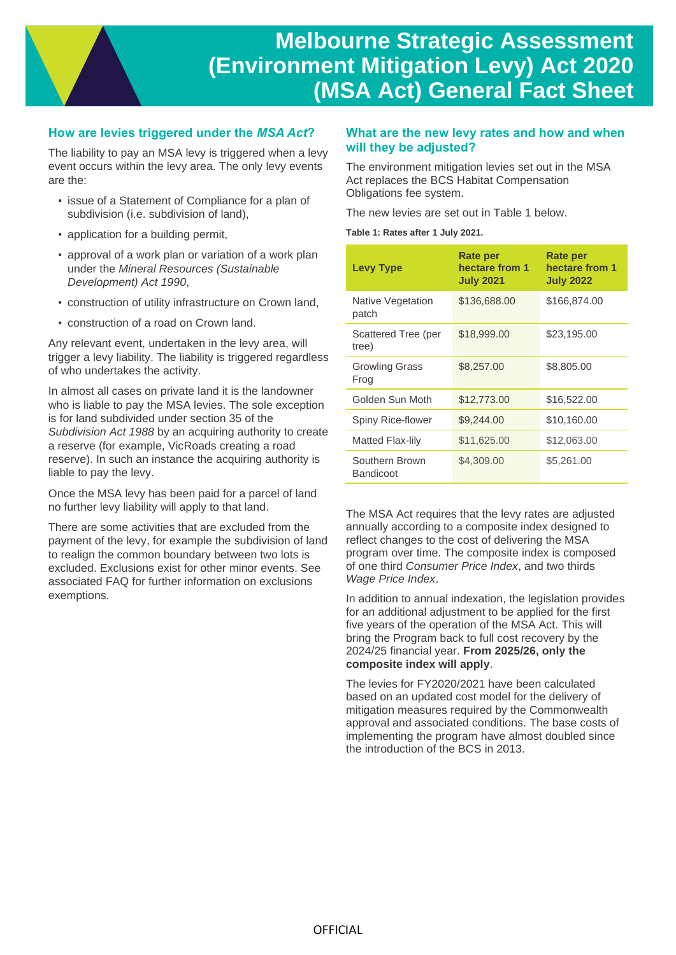### **How are levies triggered under the** *MSA Act***?**

The liability to pay an MSA levy is triggered when a levy event occurs within the levy area. The only levy events are the:

- issue of a Statement of Compliance for a plan of subdivision (i.e. subdivision of land),
- application for a building permit,
- approval of a work plan or variation of a work plan under the *Mineral Resources (Sustainable Development) Act 1990*,
- construction of utility infrastructure on Crown land,
- construction of a road on Crown land.

Any relevant event, undertaken in the levy area, will trigger a levy liability. The liability is triggered regardless of who undertakes the activity.

In almost all cases on private land it is the landowner who is liable to pay the MSA levies. The sole exception is for land subdivided under section 35 of the *Subdivision Act 1988* by an acquiring authority to create a reserve (for example, VicRoads creating a road reserve). In such an instance the acquiring authority is liable to pay the levy.

Once the MSA levy has been paid for a parcel of land no further levy liability will apply to that land.

There are some activities that are excluded from the payment of the levy, for example the subdivision of land to realign the common boundary between two lots is excluded. Exclusions exist for other minor events. See associated FAQ for further information on exclusions exemptions.

#### **What are the new levy rates and how and when will they be adjusted?**

The environment mitigation levies set out in the MSA Act replaces the BCS Habitat Compensation Obligations fee system.

The new levies are set out in Table 1 below.

**Table 1: Rates after 1 July 2021.**

| <b>Levy Type</b>                   | Rate per<br>hectare from 1<br><b>July 2021</b> | Rate per<br>hectare from 1<br><b>July 2022</b> |
|------------------------------------|------------------------------------------------|------------------------------------------------|
| Native Vegetation<br>patch         | \$136,688.00                                   | \$166,874.00                                   |
| Scattered Tree (per<br>tree)       | \$18,999.00                                    | \$23,195.00                                    |
| <b>Growling Grass</b><br>Frog      | \$8,257.00                                     | \$8,805.00                                     |
| Golden Sun Moth                    | \$12,773.00                                    | \$16,522.00                                    |
| Spiny Rice-flower                  | \$9,244.00                                     | \$10,160.00                                    |
| Matted Flax-lily                   | \$11,625.00                                    | \$12,063.00                                    |
| Southern Brown<br><b>Bandicoot</b> | \$4,309.00                                     | \$5,261.00                                     |

The MSA Act requires that the levy rates are adjusted annually according to a composite index designed to reflect changes to the cost of delivering the MSA program over time. The composite index is composed of one third *Consumer Price Index*, and two thirds *Wage Price Index*.

In addition to annual indexation, the legislation provides for an additional adjustment to be applied for the first five years of the operation of the MSA Act. This will bring the Program back to full cost recovery by the 2024/25 financial year. **From 2025/26, only the composite index will apply**.

The levies for FY2020/2021 have been calculated based on an updated cost model for the delivery of mitigation measures required by the Commonwealth approval and associated conditions. The base costs of implementing the program have almost doubled since the introduction of the BCS in 2013.